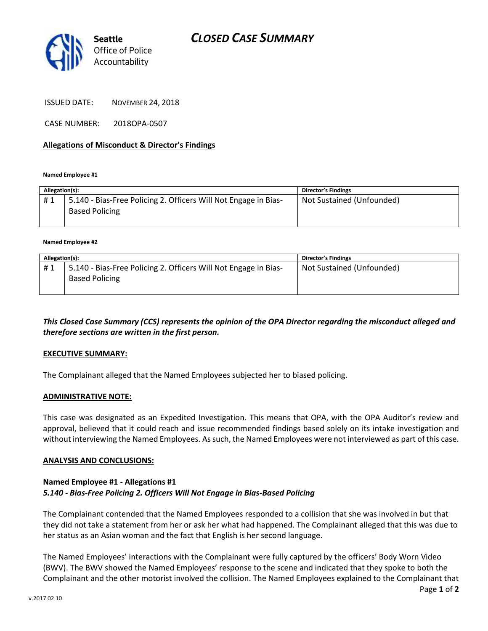

ISSUED DATE: NOVEMBER 24, 2018

CASE NUMBER: 2018OPA-0507

### **Allegations of Misconduct & Director's Findings**

**Named Employee #1**

| Allegation(s): |                                                                 | Director's Findings       |
|----------------|-----------------------------------------------------------------|---------------------------|
| #1             | 5.140 - Bias-Free Policing 2. Officers Will Not Engage in Bias- | Not Sustained (Unfounded) |
|                | <b>Based Policing</b>                                           |                           |
|                |                                                                 |                           |

#### **Named Employee #2**

| Allegation(s): |                                                                                          | Director's Findings       |
|----------------|------------------------------------------------------------------------------------------|---------------------------|
| #1             | 5.140 - Bias-Free Policing 2. Officers Will Not Engage in Bias-<br><b>Based Policing</b> | Not Sustained (Unfounded) |

*This Closed Case Summary (CCS) represents the opinion of the OPA Director regarding the misconduct alleged and therefore sections are written in the first person.* 

### **EXECUTIVE SUMMARY:**

The Complainant alleged that the Named Employees subjected her to biased policing.

### **ADMINISTRATIVE NOTE:**

This case was designated as an Expedited Investigation. This means that OPA, with the OPA Auditor's review and approval, believed that it could reach and issue recommended findings based solely on its intake investigation and without interviewing the Named Employees. As such, the Named Employees were not interviewed as part of this case.

### **ANALYSIS AND CONCLUSIONS:**

### **Named Employee #1 - Allegations #1** *5.140 - Bias-Free Policing 2. Officers Will Not Engage in Bias-Based Policing*

The Complainant contended that the Named Employees responded to a collision that she was involved in but that they did not take a statement from her or ask her what had happened. The Complainant alleged that this was due to her status as an Asian woman and the fact that English is her second language.

The Named Employees' interactions with the Complainant were fully captured by the officers' Body Worn Video (BWV). The BWV showed the Named Employees' response to the scene and indicated that they spoke to both the Complainant and the other motorist involved the collision. The Named Employees explained to the Complainant that